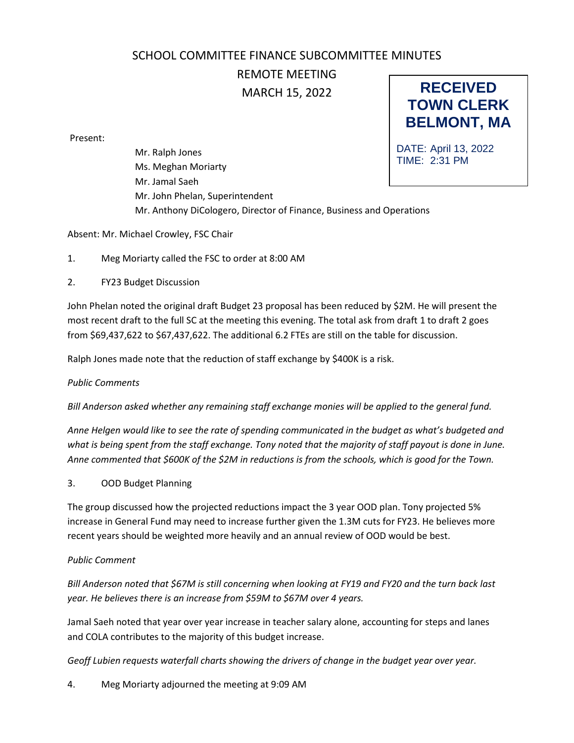## **RECEIVED TOWN CLERK** SCHOOL COMMITTEE FINANCE SUBCOMMITTEE MINUTES REMOTE MEETING MARCH 15, 2022

Present:

DATE: April 13, 2022 TIME: 2:31 PM Mr. Ralph Jones Ms. Meghan Moriarty Mr. Jamal Saeh Mr. John Phelan, Superintendent Mr. Anthony DiCologero, Director of Finance, Business and Operations

**BELMONT, MA**

Absent: Mr. Michael Crowley, FSC Chair

1. Meg Moriarty called the FSC to order at 8:00 AM

2. FY23 Budget Discussion

John Phelan noted the original draft Budget 23 proposal has been reduced by \$2M. He will present the most recent draft to the full SC at the meeting this evening. The total ask from draft 1 to draft 2 goes from \$69,437,622 to \$67,437,622. The additional 6.2 FTEs are still on the table for discussion.

Ralph Jones made note that the reduction of staff exchange by \$400K is a risk.

## *Public Comments*

*Bill Anderson asked whether any remaining staff exchange monies will be applied to the general fund.* 

*Anne Helgen would like to see the rate of spending communicated in the budget as what's budgeted and what is being spent from the staff exchange. Tony noted that the majority of staff payout is done in June. Anne commented that \$600K of the \$2M in reductions is from the schools, which is good for the Town.*

3. OOD Budget Planning

The group discussed how the projected reductions impact the 3 year OOD plan. Tony projected 5% increase in General Fund may need to increase further given the 1.3M cuts for FY23. He believes more recent years should be weighted more heavily and an annual review of OOD would be best.

## *Public Comment*

*Bill Anderson noted that \$67M is still concerning when looking at FY19 and FY20 and the turn back last year. He believes there is an increase from \$59M to \$67M over 4 years.*

Jamal Saeh noted that year over year increase in teacher salary alone, accounting for steps and lanes and COLA contributes to the majority of this budget increase.

*Geoff Lubien requests waterfall charts showing the drivers of change in the budget year over year.* 

4. Meg Moriarty adjourned the meeting at 9:09 AM